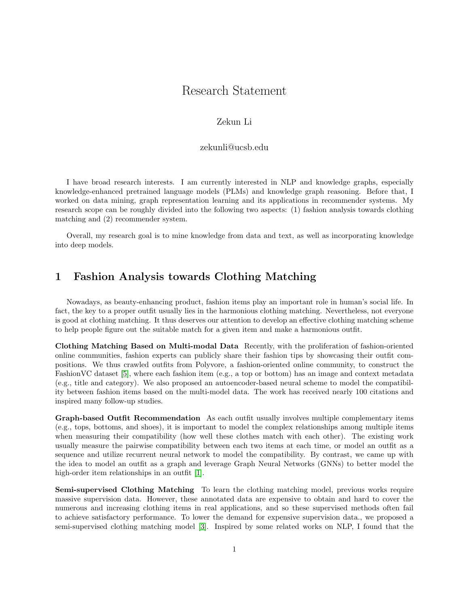# Research Statement

#### Zekun Li

#### zekunli@ucsb.edu

I have broad research interests. I am currently interested in NLP and knowledge graphs, especially knowledge-enhanced pretrained language models (PLMs) and knowledge graph reasoning. Before that, I worked on data mining, graph representation learning and its applications in recommender systems. My research scope can be roughly divided into the following two aspects: (1) fashion analysis towards clothing matching and (2) recommender system.

Overall, my research goal is to mine knowledge from data and text, as well as incorporating knowledge into deep models.

## 1 Fashion Analysis towards Clothing Matching

Nowadays, as beauty-enhancing product, fashion items play an important role in human's social life. In fact, the key to a proper outfit usually lies in the harmonious clothing matching. Nevertheless, not everyone is good at clothing matching. It thus deserves our attention to develop an effective clothing matching scheme to help people figure out the suitable match for a given item and make a harmonious outfit.

Clothing Matching Based on Multi-modal Data Recently, with the proliferation of fashion-oriented online communities, fashion experts can publicly share their fashion tips by showcasing their outfit compositions. We thus crawled outfits from Polyvore, a fashion-oriented online community, to construct the FashionVC dataset [\[5\]](#page-2-0), where each fashion item (e.g., a top or bottom) has an image and context metadata (e.g., title and category). We also proposed an autoencoder-based neural scheme to model the compatibility between fashion items based on the multi-model data. The work has received nearly 100 citations and inspired many follow-up studies.

Graph-based Outfit Recommendation As each outfit usually involves multiple complementary items (e.g., tops, bottoms, and shoes), it is important to model the complex relationships among multiple items when measuring their compatibility (how well these clothes match with each other). The existing work usually measure the pairwise compatibility between each two items at each time, or model an outfit as a sequence and utilize recurrent neural network to model the compatibility. By contrast, we came up with the idea to model an outfit as a graph and leverage Graph Neural Networks (GNNs) to better model the high-order item relationships in an outfit [\[1\]](#page-2-1).

Semi-supervised Clothing Matching To learn the clothing matching model, previous works require massive supervision data. However, these annotated data are expensive to obtain and hard to cover the numerous and increasing clothing items in real applications, and so these supervised methods often fail to achieve satisfactory performance. To lower the demand for expensive supervision data., we proposed a semi-supervised clothing matching model [\[3\]](#page-2-2). Inspired by some related works on NLP, I found that the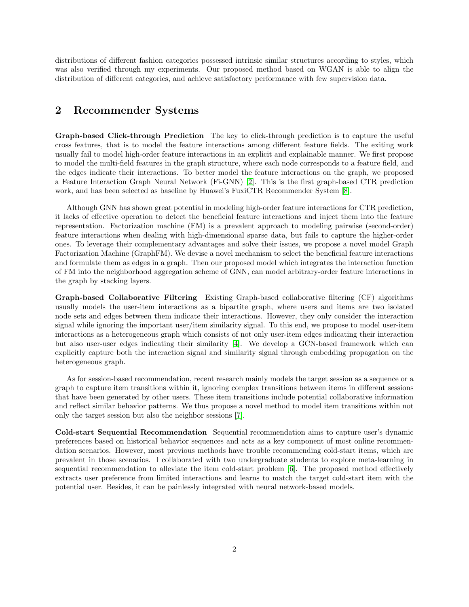distributions of different fashion categories possessed intrinsic similar structures according to styles, which was also verified through my experiments. Our proposed method based on WGAN is able to align the distribution of different categories, and achieve satisfactory performance with few supervision data.

### 2 Recommender Systems

Graph-based Click-through Prediction The key to click-through prediction is to capture the useful cross features, that is to model the feature interactions among different feature fields. The exiting work usually fail to model high-order feature interactions in an explicit and explainable manner. We first propose to model the multi-field features in the graph structure, where each node corresponds to a feature field, and the edges indicate their interactions. To better model the feature interactions on the graph, we proposed a Feature Interaction Graph Neural Network (Fi-GNN) [\[2\]](#page-2-3). This is the first graph-based CTR prediction work, and has been selected as baseline by Huawei's FuxiCTR Recommender System [\[8\]](#page-2-4).

Although GNN has shown great potential in modeling high-order feature interactions for CTR prediction, it lacks of effective operation to detect the beneficial feature interactions and inject them into the feature representation. Factorization machine (FM) is a prevalent approach to modeling pairwise (second-order) feature interactions when dealing with high-dimensional sparse data, but fails to capture the higher-order ones. To leverage their complementary advantages and solve their issues, we propose a novel model Graph Factorization Machine (GraphFM). We devise a novel mechanism to select the beneficial feature interactions and formulate them as edges in a graph. Then our proposed model which integrates the interaction function of FM into the neighborhood aggregation scheme of GNN, can model arbitrary-order feature interactions in the graph by stacking layers.

Graph-based Collaborative Filtering Existing Graph-based collaborative filtering (CF) algorithms usually models the user-item interactions as a bipartite graph, where users and items are two isolated node sets and edges between them indicate their interactions. However, they only consider the interaction signal while ignoring the important user/item similarity signal. To this end, we propose to model user-item interactions as a heterogeneous graph which consists of not only user-item edges indicating their interaction but also user-user edges indicating their similarity [\[4\]](#page-2-5). We develop a GCN-based framework which can explicitly capture both the interaction signal and similarity signal through embedding propagation on the heterogeneous graph.

As for session-based recommendation, recent research mainly models the target session as a sequence or a graph to capture item transitions within it, ignoring complex transitions between items in different sessions that have been generated by other users. These item transitions include potential collaborative information and reflect similar behavior patterns. We thus propose a novel method to model item transitions within not only the target session but also the neighbor sessions [\[7\]](#page-2-6).

Cold-start Sequential Recommendation Sequential recommendation aims to capture user's dynamic preferences based on historical behavior sequences and acts as a key component of most online recommendation scenarios. However, most previous methods have trouble recommending cold-start items, which are prevalent in those scenarios. I collaborated with two undergraduate students to explore meta-learning in sequential recommendation to alleviate the item cold-start problem [\[6\]](#page-2-7). The proposed method effectively extracts user preference from limited interactions and learns to match the target cold-start item with the potential user. Besides, it can be painlessly integrated with neural network-based models.